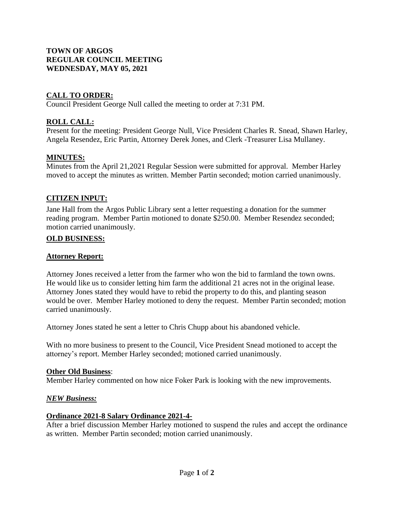# **TOWN OF ARGOS REGULAR COUNCIL MEETING WEDNESDAY, MAY 05, 2021**

# **CALL TO ORDER:**

Council President George Null called the meeting to order at 7:31 PM.

# **ROLL CALL:**

Present for the meeting: President George Null, Vice President Charles R. Snead, Shawn Harley, Angela Resendez, Eric Partin, Attorney Derek Jones, and Clerk -Treasurer Lisa Mullaney.

## **MINUTES:**

Minutes from the April 21,2021 Regular Session were submitted for approval. Member Harley moved to accept the minutes as written. Member Partin seconded; motion carried unanimously.

### **CITIZEN INPUT:**

Jane Hall from the Argos Public Library sent a letter requesting a donation for the summer reading program. Member Partin motioned to donate \$250.00. Member Resendez seconded; motion carried unanimously.

### **OLD BUSINESS:**

### **Attorney Report:**

Attorney Jones received a letter from the farmer who won the bid to farmland the town owns. He would like us to consider letting him farm the additional 21 acres not in the original lease. Attorney Jones stated they would have to rebid the property to do this, and planting season would be over. Member Harley motioned to deny the request. Member Partin seconded; motion carried unanimously.

Attorney Jones stated he sent a letter to Chris Chupp about his abandoned vehicle.

With no more business to present to the Council, Vice President Snead motioned to accept the attorney's report. Member Harley seconded; motioned carried unanimously.

#### **Other Old Business**:

Member Harley commented on how nice Foker Park is looking with the new improvements.

#### *NEW Business:*

#### **Ordinance 2021-8 Salary Ordinance 2021-4-**

After a brief discussion Member Harley motioned to suspend the rules and accept the ordinance as written. Member Partin seconded; motion carried unanimously.